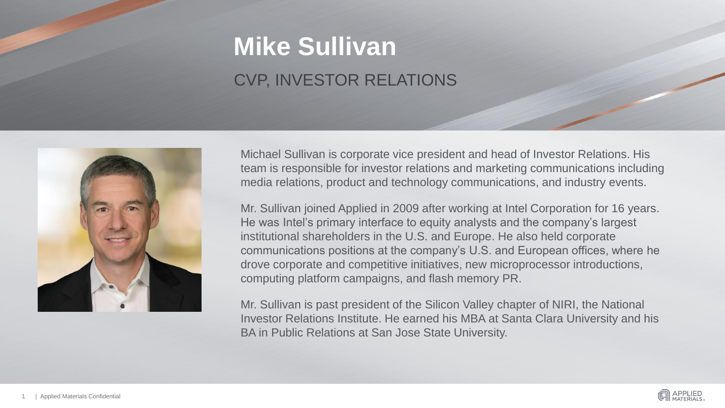# **Mike Sullivan** CVP, INVESTOR RELATIONS



Michael Sullivan is corporate vice president and head of Investor Relations. His team is responsible for investor relations and marketing communications including media relations, product and technology communications, and industry events.

Mr. Sullivan joined Applied in 2009 after working at Intel Corporation for 16 years. He was Intel's primary interface to equity analysts and the company's largest institutional shareholders in the U.S. and Europe. He also held corporate communications positions at the company's U.S. and European offices, where he drove corporate and competitive initiatives, new microprocessor introductions, computing platform campaigns, and flash memory PR.

Mr. Sullivan is past president of the Silicon Valley chapter of NIRI, the National Investor Relations Institute. He earned his MBA at Santa Clara University and his BA in Public Relations at San Jose State University.

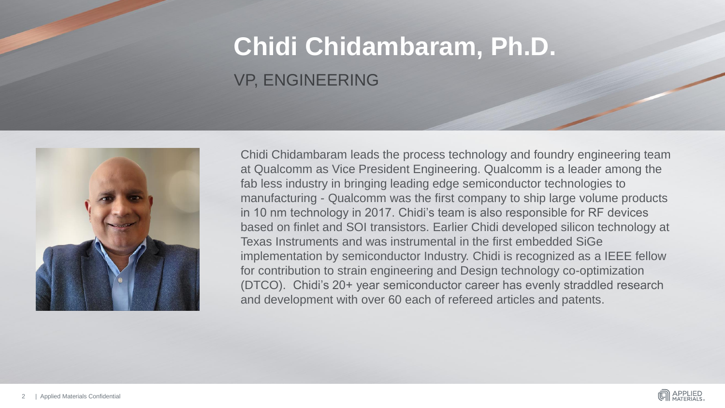# **Chidi Chidambaram, Ph.D.** VP, ENGINEERING



Chidi Chidambaram leads the process technology and foundry engineering team at Qualcomm as Vice President Engineering. Qualcomm is a leader among the fab less industry in bringing leading edge semiconductor technologies to manufacturing - Qualcomm was the first company to ship large volume products in 10 nm technology in 2017. Chidi's team is also responsible for RF devices based on finlet and SOI transistors. Earlier Chidi developed silicon technology at Texas Instruments and was instrumental in the first embedded SiGe implementation by semiconductor Industry. Chidi is recognized as a IEEE fellow for contribution to strain engineering and Design technology co-optimization (DTCO). Chidi's 20+ year semiconductor career has evenly straddled research and development with over 60 each of refereed articles and patents.

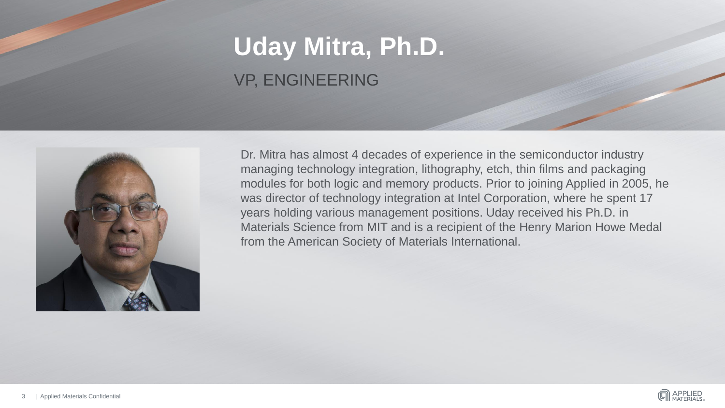# **Uday Mitra, Ph.D.** VP, ENGINEERING



Dr. Mitra has almost 4 decades of experience in the semiconductor industry managing technology integration, lithography, etch, thin films and packaging modules for both logic and memory products. Prior to joining Applied in 2005, he was director of technology integration at Intel Corporation, where he spent 17 years holding various management positions. Uday received his Ph.D. in Materials Science from MIT and is a recipient of the Henry Marion Howe Medal from the American Society of Materials International.

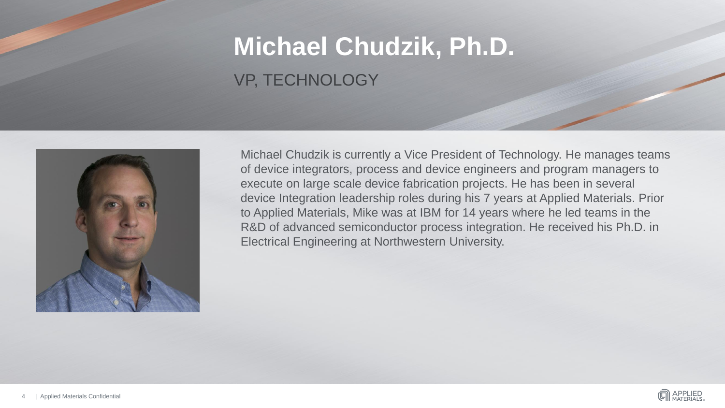# **Michael Chudzik, Ph.D.** VP, TECHNOLOGY



Michael Chudzik is currently a Vice President of Technology. He manages teams of device integrators, process and device engineers and program managers to execute on large scale device fabrication projects. He has been in several device Integration leadership roles during his 7 years at Applied Materials. Prior to Applied Materials, Mike was at IBM for 14 years where he led teams in the R&D of advanced semiconductor process integration. He received his Ph.D. in Electrical Engineering at Northwestern University.

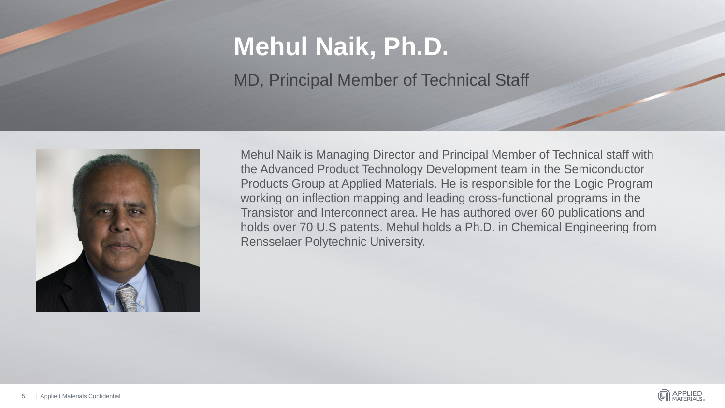# **Mehul Naik, Ph.D.**

MD, Principal Member of Technical Staff



Mehul Naik is Managing Director and Principal Member of Technical staff with the Advanced Product Technology Development team in the Semiconductor Products Group at Applied Materials. He is responsible for the Logic Program working on inflection mapping and leading cross-functional programs in the Transistor and Interconnect area. He has authored over 60 publications and holds over 70 U.S patents. Mehul holds a Ph.D. in Chemical Engineering from Rensselaer Polytechnic University.

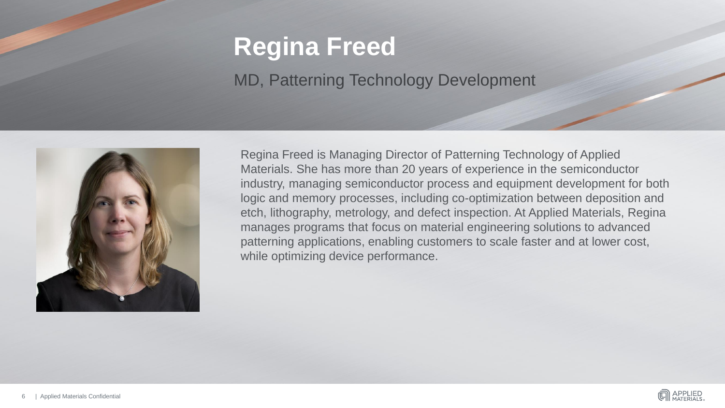#### **Regina Freed**

#### MD, Patterning Technology Development



Regina Freed is Managing Director of Patterning Technology of Applied Materials. She has more than 20 years of experience in the semiconductor industry, managing semiconductor process and equipment development for both logic and memory processes, including co-optimization between deposition and etch, lithography, metrology, and defect inspection. At Applied Materials, Regina manages programs that focus on material engineering solutions to advanced patterning applications, enabling customers to scale faster and at lower cost, while optimizing device performance.